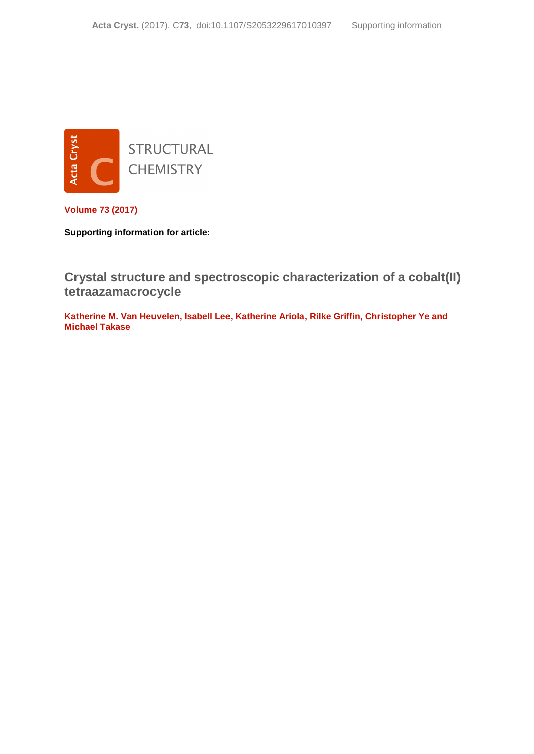

**Volume 73 (2017)**

**Supporting information for article:**

**[Crystal structure and spectroscopic characterization of a cobalt\(II\)](http://dx.doi.org/10.1107/S2053229617010397)  [tetraazamacrocycle](http://dx.doi.org/10.1107/S2053229617010397)**

**Katherine M. Van Heuvelen, Isabell Lee, Katherine Ariola, Rilke Griffin, Christopher Ye and Michael Takase**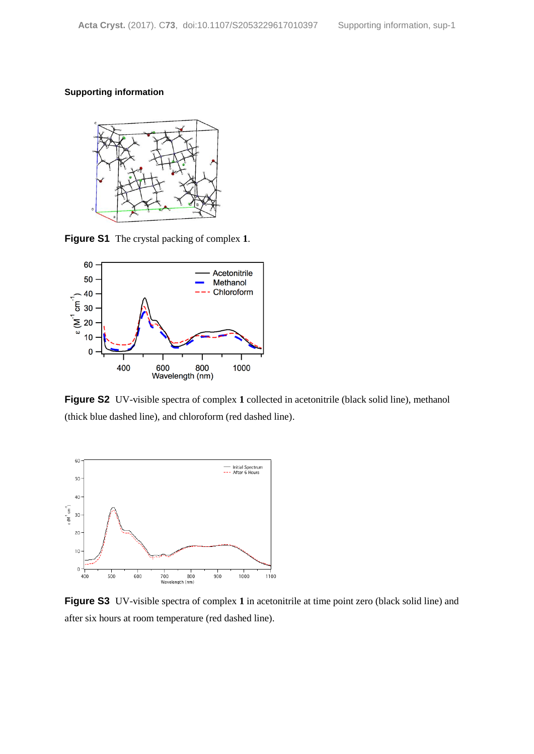## **Supporting information**



**Figure S1** The crystal packing of complex **1**.



**Figure S2** UV-visible spectra of complex **1** collected in acetonitrile (black solid line), methanol (thick blue dashed line), and chloroform (red dashed line).



**Figure S3** UV-visible spectra of complex 1 in acetonitrile at time point zero (black solid line) and after six hours at room temperature (red dashed line).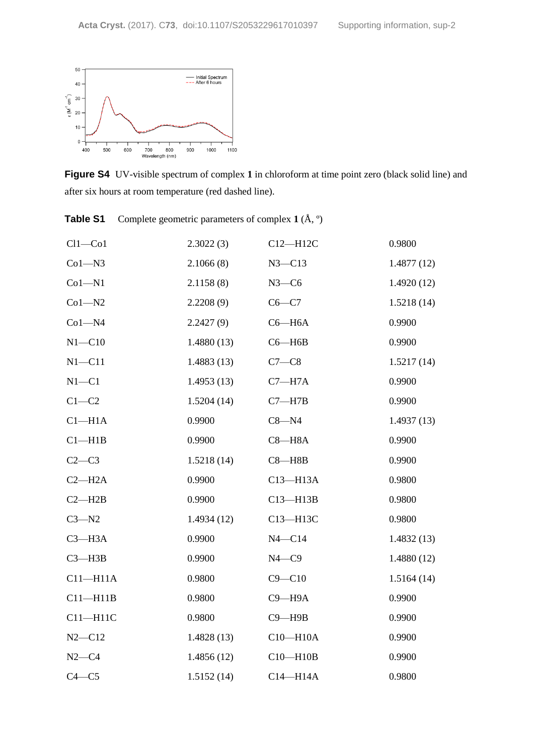

**Figure S4** UV-visible spectrum of complex **1** in chloroform at time point zero (black solid line) and after six hours at room temperature (red dashed line).

**Table S1** Complete geometric parameters of complex **1** (Å, º)

| $Cl1-C01$          | 2.3022(3)  | $C12 - H12C$ | 0.9800     |
|--------------------|------------|--------------|------------|
| $Co1 - N3$         | 2.1066(8)  | $N3 - C13$   | 1.4877(12) |
| $Co1 - N1$         | 2.1158(8)  | $N3-C6$      | 1.4920(12) |
| $Co1 - N2$         | 2.2208(9)  | $C6-C7$      | 1.5218(14) |
| $Co1 - N4$         | 2.2427(9)  | $C6 - H6A$   | 0.9900     |
| $N1 - C10$         | 1.4880(13) | $C6 - H6B$   | 0.9900     |
| $N1 - C11$         | 1.4883(13) | $C7-C8$      | 1.5217(14) |
| $N1 - C1$          | 1.4953(13) | $C7 - H7A$   | 0.9900     |
| $C1-C2$            | 1.5204(14) | $C7 - H7B$   | 0.9900     |
| Cl <sub>–H1A</sub> | 0.9900     | $C8 - N4$    | 1.4937(13) |
| $Cl-H1B$           | 0.9900     | $C8 - H8A$   | 0.9900     |
| $C2-C3$            | 1.5218(14) | $C8 - H8B$   | 0.9900     |
| $C2-H2A$           | 0.9900     | $C13 - H13A$ | 0.9800     |
| $C2 - H2B$         | 0.9900     | $C13 - H13B$ | 0.9800     |
| $C3 - N2$          | 1.4934(12) | C13-H13C     | 0.9800     |
| $C3 - H3A$         | 0.9900     | $N4 - C14$   | 1.4832(13) |
| $C3 - H3B$         | 0.9900     | $N4 - C9$    | 1.4880(12) |
| $C11 - H11A$       | 0.9800     | $C9 - C10$   | 1.5164(14) |
| $C11 - H11B$       | 0.9800     | $C9 - H9A$   | 0.9900     |
| $C11 - H11C$       | 0.9800     | $C9 - H9B$   | 0.9900     |
| $N2 - C12$         | 1.4828(13) | $C10 - H10A$ | 0.9900     |
| $N2-C4$            | 1.4856(12) | $C10 - H10B$ | 0.9900     |
| $C4 - C5$          | 1.5152(14) | $C14 - H14A$ | 0.9800     |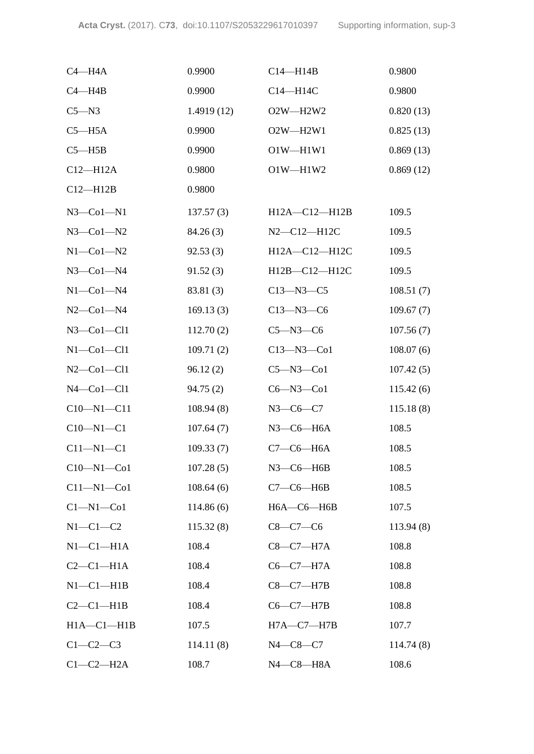| $C4 - H4A$           | 0.9900     | $C14 - H14B$        | 0.9800    |
|----------------------|------------|---------------------|-----------|
| $C4 - H4B$           | 0.9900     | C14-H14C            | 0.9800    |
| $C5 - N3$            | 1.4919(12) | O2W-H2W2            | 0.820(13) |
| $C5 - H5A$           | 0.9900     | $O2W - H2W1$        | 0.825(13) |
| $C5 - H5B$           | 0.9900     | $O1W - H1W1$        | 0.869(13) |
| $C12 - H12A$         | 0.9800     | $O1W - H1W2$        | 0.869(12) |
| $C12 - H12B$         | 0.9800     |                     |           |
| $N3$ –Col–N1         | 137.57(3)  | $H12A - C12 - H12B$ | 109.5     |
| $N3$ –Col–N2         | 84.26(3)   | N2-C12-H12C         | 109.5     |
| $N1$ -Co $1$ -N2     | 92.53(3)   | H12A-C12-H12C       | 109.5     |
| $N3$ — $Co1$ — $N4$  | 91.52(3)   | H12B-C12-H12C       | 109.5     |
| $N1$ -Co $1$ -N4     | 83.81 (3)  | $C13 - N3 - C5$     | 108.51(7) |
| $N2$ –Co1–N4         | 169.13(3)  | $C13 - N3 - C6$     | 109.67(7) |
| $N3$ –Col–Cl1        | 112.70(2)  | $C5 - N3 - C6$      | 107.56(7) |
| $N1$ -Co $1$ -Cl $1$ | 109.71(2)  | $C13 - N3 - C01$    | 108.07(6) |
| $N2$ –Co1–Cl1        | 96.12(2)   | $C5 - N3 - C01$     | 107.42(5) |
| $N4$ –Co $1$ –Cl $1$ | 94.75(2)   | $C6 - N3 - C01$     | 115.42(6) |
| $C10 - N1 - C11$     | 108.94(8)  | $N3 - C6 - C7$      | 115.18(8) |
| $C10 - N1 - C1$      | 107.64(7)  | $N3$ — $C6$ — $H6A$ | 108.5     |
| $C11 - N1 - C1$      | 109.33(7)  | $C7-C6-H6A$         | 108.5     |
| $C10 - N1 - Co1$     | 107.28(5)  | $N3$ –C6–H6B        | 108.5     |
| $C11 - N1 - Co1$     | 108.64(6)  | $C7-C6-H6B$         | 108.5     |
| $Cl-M1-C01$          | 114.86(6)  | $H6A - C6 - H6B$    | 107.5     |
| $N1-C1-C2$           | 115.32(8)  | $C8-C7-C6$          | 113.94(8) |
| $N1-C1-H1A$          | 108.4      | $C8-C7-H7A$         | 108.8     |
| $C2-C1-H1A$          | 108.4      | $C6-C7-H7A$         | 108.8     |
| $N1-C1-H1B$          | 108.4      | $C8-C7-H7B$         | 108.8     |
| $C2-C1-H1B$          | 108.4      | $C6-C7-H7B$         | 108.8     |
| $H1A - C1 - H1B$     | 107.5      | $H7A - C7 - H7B$    | 107.7     |
| $C1-C2-C3$           | 114.11(8)  | $N4 - C8 - C7$      | 114.74(8) |
| $C1-C2-H2A$          | 108.7      | N4-C8-H8A           | 108.6     |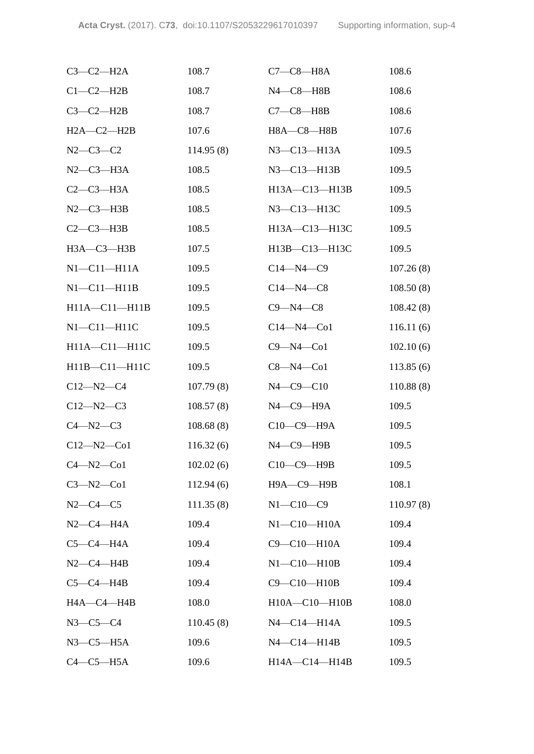| $C3-C2-H2A$         | 108.7     | $C7-C8-H8A$           | 108.6     |
|---------------------|-----------|-----------------------|-----------|
| $C1-C2-H2B$         | 108.7     | $N4$ — $C8$ — $H8B$   | 108.6     |
| $C3-C2-H2B$         | 108.7     | $C7-C8—H8B$           | 108.6     |
| $H2A-C2-H2B$        | 107.6     | <b>H8A-C8-H8B</b>     | 107.6     |
| $N2 - C3 - C2$      | 114.95(8) | N3-C13-H13A           | 109.5     |
| $N2-C3-H3A$         | 108.5     | $N3 - C13 - H13B$     | 109.5     |
| $C2-C3-H3A$         | 108.5     | H13A-C13-H13B         | 109.5     |
| $N2-C3-H3B$         | 108.5     | N3-C13-H13C           | 109.5     |
| $C2-C3-H3B$         | 108.5     | H13A-C13-H13C         | 109.5     |
| H3A-C3-H3B          | 107.5     | H13B-C13-H13C         | 109.5     |
| $N1 - C11 - H11A$   | 109.5     | $C14 - N4 - C9$       | 107.26(8) |
| $NI - CI1 - H11B$   | 109.5     | $C14 - N4 - C8$       | 108.50(8) |
| $H11A - C11 - H11B$ | 109.5     | $C9 - N4 - C8$        | 108.42(8) |
| $N1 - C11 - H11C$   | 109.5     | $C14 - N4 - C01$      | 116.11(6) |
| H11A-C11-H11C       | 109.5     | $C9 - N4 - C01$       | 102.10(6) |
| H11B-C11-H11C       | 109.5     | $C8 - N4 - C01$       | 113.85(6) |
| $C12 - N2 - C4$     | 107.79(8) | $N4 - C9 - C10$       | 110.88(8) |
| $C12 - N2 - C3$     | 108.57(8) | N4-C9-H9A             | 109.5     |
| $C4 - N2 - C3$      | 108.68(8) | $C10-C9-H9A$          | 109.5     |
| $C12 - N2 - C01$    | 116.32(6) | $N4$ — $C9$ — $H9B$   | 109.5     |
| $C4 - N2 - C01$     | 102.02(6) | C10-C9-H9B            | 109.5     |
| $C3 - N2 - C01$     | 112.94(6) | Н9А-С9-Н9В            | 108.1     |
| $N2-C4-C5$          | 111.35(8) | $N1 - C10 - C9$       | 110.97(8) |
| $N2-C4-H4A$         | 109.4     | $N1-C10-H10A$         | 109.4     |
| $C5-C4-H4A$         | 109.4     | C9-C10-H10A           | 109.4     |
| $N2$ –C4–H4B        | 109.4     | $N1 - C10 - H10B$     | 109.4     |
| $C5-C4-H4B$         | 109.4     | C9-C10-H10B           | 109.4     |
| HA—C4—H4B           | 108.0     | $H10A - C10 - H10B$   | 108.0     |
| $N3-C5-C4$          | 110.45(8) | N4-C14-H14A           | 109.5     |
| $N3$ –C5–H5A        | 109.6     | $N4$ — $C14$ — $H14B$ | 109.5     |
| $C4-C5-H5A$         | 109.6     | H14A-C14-H14B         | 109.5     |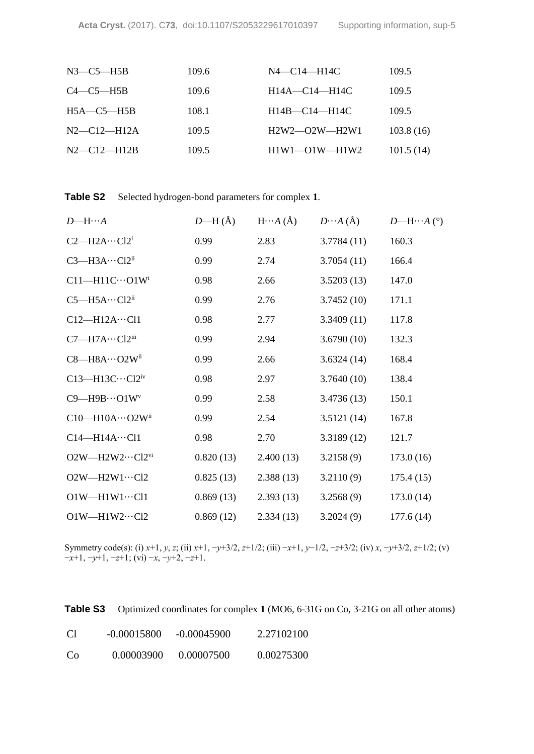| $N3$ — $C5$ —H5B  | 109.6 | $N4$ —C14—H14C          | 109.5     |
|-------------------|-------|-------------------------|-----------|
| $C4 - C5 - H5B$   | 109.6 | $H14A - C14 - H14C$     | 109.5     |
| $H5A - C5 - H5B$  | 108.1 | $H14B - C14 - H14C$     | 109.5     |
| $N2$ —C12—H12A    | 109.5 | $H2W2$ — $O2W$ — $H2W1$ | 103.8(16) |
| $N2 - C12 - H12B$ | 109.5 | $H1W1 - O1W - H1W2$     | 101.5(14) |
|                   |       |                         |           |

| $D$ —H… $A$                     | $D$ —H $(\AA)$ | $H \cdots A (\AA)$ | $D \cdots A (\AA)$ | $D$ —H…A (°) |
|---------------------------------|----------------|--------------------|--------------------|--------------|
| $C2$ —H2A… $Cl2i$               | 0.99           | 2.83               | 3.7784(11)         | 160.3        |
| $C3$ —H3A… $Cl2$ <sup>ii</sup>  | 0.99           | 2.74               | 3.7054(11)         | 166.4        |
| $C11 - H11C \cdots O1W$         | 0.98           | 2.66               | 3.5203(13)         | 147.0        |
| $C5$ —H5A… $Cl2$ <sup>ii</sup>  | 0.99           | 2.76               | 3.7452(10)         | 171.1        |
| $C12-H12A\cdots C11$            | 0.98           | 2.77               | 3.3409(11)         | 117.8        |
| $C7$ —H7A… $Cl2$ <sup>iii</sup> | 0.99           | 2.94               | 3.6790(10)         | 132.3        |
| $C8 - H8A \cdots O2W^{ii}$      | 0.99           | 2.66               | 3.6324(14)         | 168.4        |
| $C13$ —H13C… $C12$ iv           | 0.98           | 2.97               | 3.7640(10)         | 138.4        |
| $C9 - H9B \cdots O1W$           | 0.99           | 2.58               | 3.4736(13)         | 150.1        |
| $C10$ —H $10A\cdots$ O2Wii      | 0.99           | 2.54               | 3.5121(14)         | 167.8        |
| $C14 - H14A \cdots C11$         | 0.98           | 2.70               | 3.3189(12)         | 121.7        |
| $O2W$ —H2W2…Cl2vi               | 0.820(13)      | 2.400(13)          | 3.2158(9)          | 173.0(16)    |
| $O2W - H2W1 \cdots C12$         | 0.825(13)      | 2.388(13)          | 3.2110(9)          | 175.4(15)    |
| $O1W - H1W1 \cdots C11$         | 0.869(13)      | 2.393(13)          | 3.2568(9)          | 173.0(14)    |
| $O1W - H1W2 \cdots C12$         | 0.869(12)      | 2.334(13)          | 3.2024(9)          | 177.6(14)    |

Symmetry code(s): (i) *x*+1, *y*, *z*; (ii) *x*+1, −*y*+3/2, *z*+1/2; (iii) −*x*+1, *y*−1/2, −*z*+3/2; (iv) *x*, −*y*+3/2, *z*+1/2; (v) −*x*+1, −*y*+1, −*z*+1; (vi) −*x*, −*y*+2, −*z*+1.

| Table S3 |  | Optimized coordinates for complex 1 (MO6, 6-31G on Co, 3-21G on all other atoms) |  |
|----------|--|----------------------------------------------------------------------------------|--|
|----------|--|----------------------------------------------------------------------------------|--|

| <sup>C</sup> | $-0.00015800$ | -0.00045900 | 2.27102100 |
|--------------|---------------|-------------|------------|
| Co           | 0.00003900    | 0.00007500  | 0.00275300 |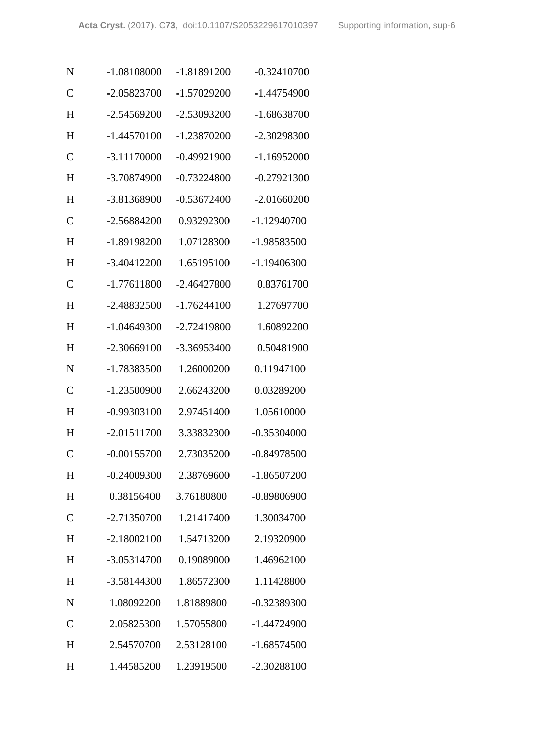| N              | $-1.08108000$ | -1.81891200   | $-0.32410700$ |
|----------------|---------------|---------------|---------------|
| $\mathcal{C}$  | -2.05823700   | $-1.57029200$ | $-1.44754900$ |
| H              | $-2.54569200$ | -2.53093200   | $-1.68638700$ |
| H              | $-1.44570100$ | -1.23870200   | -2.30298300   |
| $\mathbf C$    | $-3.11170000$ | $-0.49921900$ | $-1.16952000$ |
| H              | -3.70874900   | $-0.73224800$ | $-0.27921300$ |
| H              | -3.81368900   | $-0.53672400$ | $-2.01660200$ |
| $\mathcal{C}$  | $-2.56884200$ | 0.93292300    | $-1.12940700$ |
| H              | $-1.89198200$ | 1.07128300    | -1.98583500   |
| H              | $-3.40412200$ | 1.65195100    | -1.19406300   |
| $\mathbf C$    | $-1.77611800$ | $-2.46427800$ | 0.83761700    |
| H              | -2.48832500   | $-1.76244100$ | 1.27697700    |
| H              | $-1.04649300$ | -2.72419800   | 1.60892200    |
| H              | $-2.30669100$ | -3.36953400   | 0.50481900    |
| N              | -1.78383500   | 1.26000200    | 0.11947100    |
| $\mathcal{C}$  | $-1.23500900$ | 2.66243200    | 0.03289200    |
| H              | $-0.99303100$ | 2.97451400    | 1.05610000    |
| H              | $-2.01511700$ | 3.33832300    | $-0.35304000$ |
| $\overline{C}$ | $-0.00155700$ | 2.73035200    | $-0.84978500$ |
| H              | $-0.24009300$ | 2.38769600    | $-1.86507200$ |
| H              | 0.38156400    | 3.76180800    | $-0.89806900$ |
| $\mathsf{C}$   | $-2.71350700$ | 1.21417400    | 1.30034700    |
| H              | $-2.18002100$ | 1.54713200    | 2.19320900    |
| H              | -3.05314700   | 0.19089000    | 1.46962100    |
| H              | $-3.58144300$ | 1.86572300    | 1.11428800    |
| N              | 1.08092200    | 1.81889800    | $-0.32389300$ |
| $\mathcal{C}$  | 2.05825300    | 1.57055800    | -1.44724900   |
| H              | 2.54570700    | 2.53128100    | $-1.68574500$ |
| H              | 1.44585200    | 1.23919500    | -2.30288100   |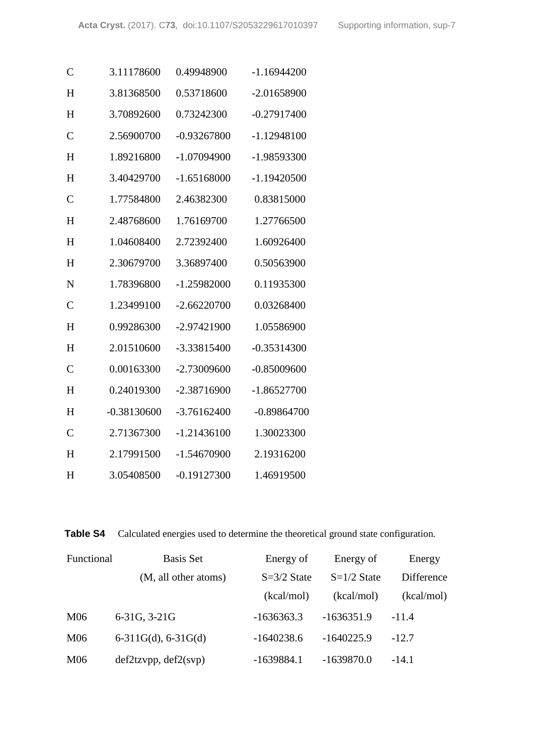| $\mathbf C$    | 3.11178600    | 0.49948900    | $-1.16944200$ |
|----------------|---------------|---------------|---------------|
| H              | 3.81368500    | 0.53718600    | $-2.01658900$ |
| H              | 3.70892600    | 0.73242300    | $-0.27917400$ |
| $\mathcal{C}$  | 2.56900700    | $-0.93267800$ | $-1.12948100$ |
| H              | 1.89216800    | $-1.07094900$ | -1.98593300   |
| H              | 3.40429700    | $-1.65168000$ | $-1.19420500$ |
| $\overline{C}$ | 1.77584800    | 2.46382300    | 0.83815000    |
| H              | 2.48768600    | 1.76169700    | 1.27766500    |
| H              | 1.04608400    | 2.72392400    | 1.60926400    |
| H              | 2.30679700    | 3.36897400    | 0.50563900    |
| N              | 1.78396800    | $-1.25982000$ | 0.11935300    |
| $\mathcal{C}$  | 1.23499100    | $-2.66220700$ | 0.03268400    |
| H              | 0.99286300    | $-2.97421900$ | 1.05586900    |
| H              | 2.01510600    | -3.33815400   | $-0.35314300$ |
| $\mathcal{C}$  | 0.00163300    | $-2.73009600$ | $-0.85009600$ |
| H              | 0.24019300    | $-2.38716900$ | $-1.86527700$ |
| H              | $-0.38130600$ | $-3.76162400$ | $-0.89864700$ |
| $\overline{C}$ | 2.71367300    | $-1.21436100$ | 1.30023300    |
| H              | 2.17991500    | $-1.54670900$ | 2.19316200    |
| H              | 3.05408500    | $-0.19127300$ | 1.46919500    |

**Table S4** Calculated energies used to determine the theoretical ground state configuration.

| Functional      | <b>Basis Set</b>      | Energy of     | Energy of     | Energy     |
|-----------------|-----------------------|---------------|---------------|------------|
|                 | (M, all other atoms)  | $S=3/2$ State | $S=1/2$ State | Difference |
|                 |                       | (kcal/mol)    | (kcal/mol)    | (kcal/mol) |
| M06             | 6-31G, 3-21G          | $-1636363.3$  | $-1636351.9$  | $-11.4$    |
| M <sub>06</sub> | $6-311G(d), 6-31G(d)$ | $-1640238.6$  | $-1640225.9$  | $-12.7$    |
| M <sub>06</sub> | def2tzvpp, def2(svp)  | $-1639884.1$  | $-1639870.0$  | $-14.1$    |